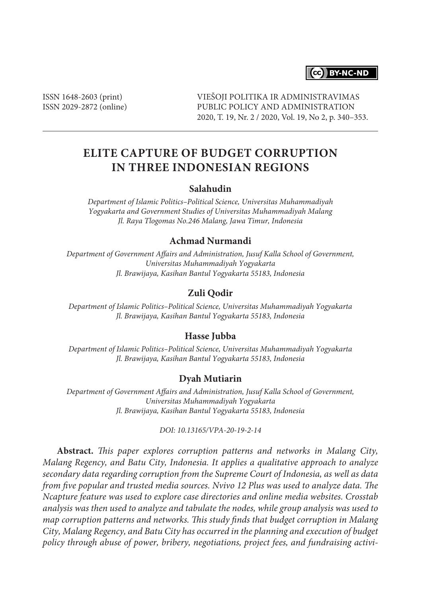

ISSN 1648-2603 (print) ISSN 2029-2872 (online) VIEŠOJI POLITIKA IR ADMINISTRAVIMAS PUBLIC POLICY AND ADMINISTRATION 2020, T. 19, Nr. 2 / 2020, Vol. 19, No 2, p. 340–353.

# **ELITE CAPTURE OF BUDGET CORRUPTION IN THREE INDONESIAN REGIONS**

#### **Salahudin**

*Department of Islamic Politics–Political Science, Universitas Muhammadiyah Yogyakarta and Government Studies of Universitas Muhammadiyah Malang Jl. Raya Tlogomas No.246 Malang, Jawa Timur, Indonesia*

### **Achmad Nurmandi**

*Department of Government Affairs and Administration, Jusuf Kalla School of Government, Universitas Muhammadiyah Yogyakarta Jl. Brawijaya, Kasihan Bantul Yogyakarta 55183, Indonesia*

### **Zuli Qodir**

*Department of Islamic Politics–Political Science, Universitas Muhammadiyah Yogyakarta Jl. Brawijaya, Kasihan Bantul Yogyakarta 55183, Indonesia*

#### **Hasse Jubba**

*Department of Islamic Politics–Political Science, Universitas Muhammadiyah Yogyakarta Jl. Brawijaya, Kasihan Bantul Yogyakarta 55183, Indonesia*

### **Dyah Mutiarin**

*Department of Government Affairs and Administration, Jusuf Kalla School of Government, Universitas Muhammadiyah Yogyakarta Jl. Brawijaya, Kasihan Bantul Yogyakarta 55183, Indonesia*

### *DOI: 10.13165/VPA-20-19-2-14*

**Abstract.** *This paper explores corruption patterns and networks in Malang City, Malang Regency, and Batu City, Indonesia. It applies a qualitative approach to analyze secondary data regarding corruption from the Supreme Court of Indonesia, as well as data from five popular and trusted media sources. Nvivo 12 Plus was used to analyze data. The Ncapture feature was used to explore case directories and online media websites. Crosstab analysis was then used to analyze and tabulate the nodes, while group analysis was used to map corruption patterns and networks. This study finds that budget corruption in Malang City, Malang Regency, and Batu City has occurred in the planning and execution of budget policy through abuse of power, bribery, negotiations, project fees, and fundraising activi-*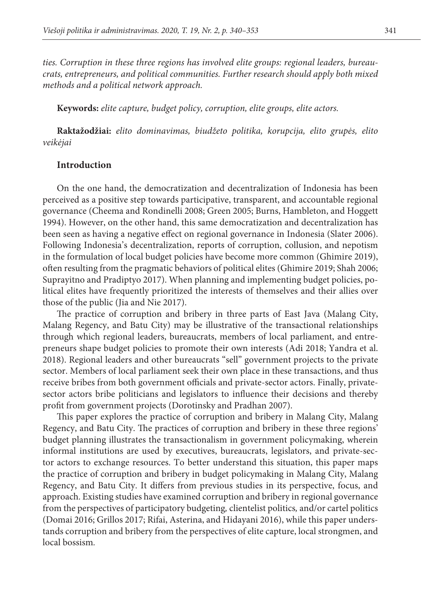*ties. Corruption in these three regions has involved elite groups: regional leaders, bureaucrats, entrepreneurs, and political communities. Further research should apply both mixed methods and a political network approach.*

**Keywords:** *elite capture, budget policy, corruption, elite groups, elite actors.*

**Raktažodžiai:** *elito dominavimas, biudžeto politika, korupcija, elito grupės, elito veikėjai*

### **Introduction**

On the one hand, the democratization and decentralization of Indonesia has been perceived as a positive step towards participative, transparent, and accountable regional governance (Cheema and Rondinelli 2008; Green 2005; Burns, Hambleton, and Hoggett 1994). However, on the other hand, this same democratization and decentralization has been seen as having a negative effect on regional governance in Indonesia (Slater 2006). Following Indonesia's decentralization, reports of corruption, collusion, and nepotism in the formulation of local budget policies have become more common (Ghimire 2019), often resulting from the pragmatic behaviors of political elites (Ghimire 2019; Shah 2006; Suprayitno and Pradiptyo 2017). When planning and implementing budget policies, political elites have frequently prioritized the interests of themselves and their allies over those of the public (Jia and Nie 2017).

The practice of corruption and bribery in three parts of East Java (Malang City, Malang Regency, and Batu City) may be illustrative of the transactional relationships through which regional leaders, bureaucrats, members of local parliament, and entrepreneurs shape budget policies to promote their own interests (Adi 2018; Yandra et al. 2018). Regional leaders and other bureaucrats "sell" government projects to the private sector. Members of local parliament seek their own place in these transactions, and thus receive bribes from both government officials and private-sector actors. Finally, privatesector actors bribe politicians and legislators to influence their decisions and thereby profit from government projects (Dorotinsky and Pradhan 2007).

This paper explores the practice of corruption and bribery in Malang City, Malang Regency, and Batu City. The practices of corruption and bribery in these three regions' budget planning illustrates the transactionalism in government policymaking, wherein informal institutions are used by executives, bureaucrats, legislators, and private-sector actors to exchange resources. To better understand this situation, this paper maps the practice of corruption and bribery in budget policymaking in Malang City, Malang Regency, and Batu City. It differs from previous studies in its perspective, focus, and approach. Existing studies have examined corruption and bribery in regional governance from the perspectives of participatory budgeting*,* clientelist politics*,* and/or cartel politics (Domai 2016; Grillos 2017; Rifai, Asterina, and Hidayani 2016), while this paper understands corruption and bribery from the perspectives of elite capture, local strongmen, and local bossism*.*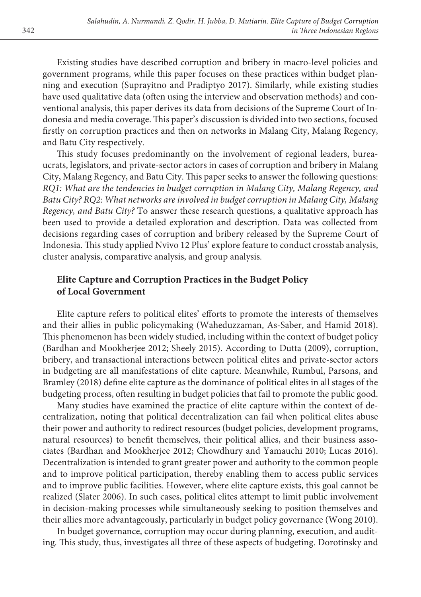Existing studies have described corruption and bribery in macro-level policies and government programs, while this paper focuses on these practices within budget planning and execution (Suprayitno and Pradiptyo 2017). Similarly, while existing studies have used qualitative data (often using the interview and observation methods) and conventional analysis, this paper derives its data from decisions of the Supreme Court of Indonesia and media coverage. This paper's discussion is divided into two sections, focused firstly on corruption practices and then on networks in Malang City, Malang Regency, and Batu City respectively.

This study focuses predominantly on the involvement of regional leaders, bureaucrats, legislators, and private-sector actors in cases of corruption and bribery in Malang City, Malang Regency, and Batu City. This paper seeks to answer the following questions: *RQ1: What are the tendencies in budget corruption in Malang City, Malang Regency, and Batu City? RQ2: What networks are involved in budget corruption in Malang City, Malang Regency, and Batu City?* To answer these research questions, a qualitative approach has been used to provide a detailed exploration and description. Data was collected from decisions regarding cases of corruption and bribery released by the Supreme Court of Indonesia. This study applied Nvivo 12 Plus' explore feature to conduct crosstab analysis, cluster analysis, comparative analysis, and group analysis*.*

# **Elite Capture and Corruption Practices in the Budget Policy of Local Government**

Elite capture refers to political elites' efforts to promote the interests of themselves and their allies in public policymaking (Waheduzzaman, As-Saber, and Hamid 2018). This phenomenon has been widely studied, including within the context of budget policy (Bardhan and Mookherjee 2012; Sheely 2015). According to Dutta (2009), corruption, bribery, and transactional interactions between political elites and private-sector actors in budgeting are all manifestations of elite capture. Meanwhile, Rumbul, Parsons, and Bramley (2018) define elite capture as the dominance of political elites in all stages of the budgeting process, often resulting in budget policies that fail to promote the public good.

Many studies have examined the practice of elite capture within the context of decentralization, noting that political decentralization can fail when political elites abuse their power and authority to redirect resources (budget policies, development programs, natural resources) to benefit themselves, their political allies, and their business associates (Bardhan and Mookherjee 2012; Chowdhury and Yamauchi 2010; Lucas 2016). Decentralization is intended to grant greater power and authority to the common people and to improve political participation, thereby enabling them to access public services and to improve public facilities. However, where elite capture exists, this goal cannot be realized (Slater 2006). In such cases, political elites attempt to limit public involvement in decision-making processes while simultaneously seeking to position themselves and their allies more advantageously, particularly in budget policy governance (Wong 2010).

In budget governance, corruption may occur during planning, execution, and auditing*.* This study, thus, investigates all three of these aspects of budgeting. Dorotinsky and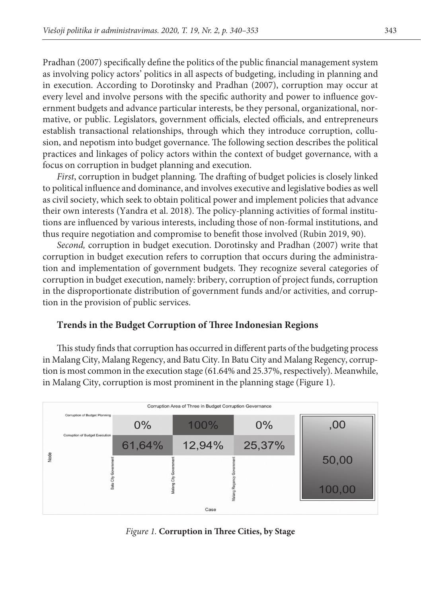Pradhan (2007) specifically define the politics of the public financial management system as involving policy actors' politics in all aspects of budgeting, including in planning and in execution. According to Dorotinsky and Pradhan (2007), corruption may occur at every level and involve persons with the specific authority and power to influence government budgets and advance particular interests, be they personal, organizational, normative, or public. Legislators, government officials*,* elected officials, and entrepreneurs establish transactional relationships, through which they introduce corruption, collusion, and nepotism into budget governance. The following section describes the political practices and linkages of policy actors within the context of budget governance, with a focus on corruption in budget planning and execution.

*First*, corruption in budget planning*.* The drafting of budget policies is closely linked to political influence and dominance, and involves executive and legislative bodies as well as civil society, which seek to obtain political power and implement policies that advance their own interests (Yandra et al. 2018). The policy-planning activities of formal institutions are influenced by various interests, including those of non-formal institutions, and thus require negotiation and compromise to benefit those involved (Rubin 2019, 90).

*Second,* corruption in budget execution. Dorotinsky and Pradhan (2007) write that corruption in budget execution refers to corruption that occurs during the administration and implementation of government budgets. They recognize several categories of corruption in budget execution, namely: bribery, corruption of project funds, corruption in the disproportionate distribution of government funds and/or activities, and corruption in the provision of public services.

### **Trends in the Budget Corruption of Three Indonesian Regions**

This study finds that corruption has occurred in different parts of the budgeting process in Malang City, Malang Regency, and Batu City. In Batu City and Malang Regency, corruption is most common in the execution stage (61.64% and 25.37%, respectively). Meanwhile, in Malang City, corruption is most prominent in the planning stage (Figure 1).



*Figure 1.* **Corruption in Three Cities, by Stage**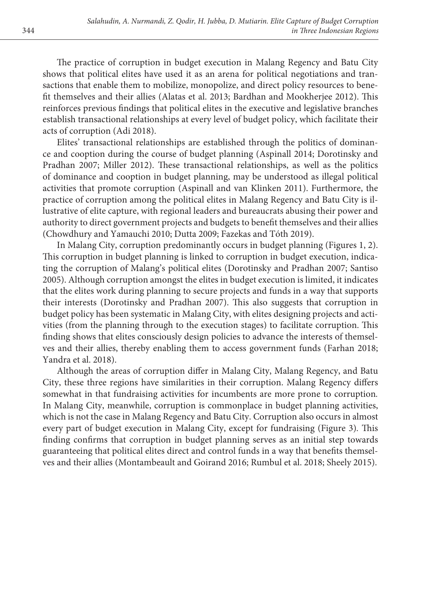The practice of corruption in budget execution in Malang Regency and Batu City shows that political elites have used it as an arena for political negotiations and transactions that enable them to mobilize, monopolize, and direct policy resources to benefit themselves and their allies (Alatas et al. 2013; Bardhan and Mookherjee 2012). This reinforces previous findings that political elites in the executive and legislative branches establish transactional relationships at every level of budget policy, which facilitate their acts of corruption (Adi 2018).

Elites' transactional relationships are established through the politics of dominance and cooption during the course of budget planning (Aspinall 2014; Dorotinsky and Pradhan 2007; Miller 2012). These transactional relationships, as well as the politics of dominance and cooption in budget planning, may be understood as illegal political activities that promote corruption (Aspinall and van Klinken 2011). Furthermore, the practice of corruption among the political elites in Malang Regency and Batu City is illustrative of elite capture, with regional leaders and bureaucrats abusing their power and authority to direct government projects and budgets to benefit themselves and their allies (Chowdhury and Yamauchi 2010; Dutta 2009; Fazekas and Tóth 2019).

In Malang City, corruption predominantly occurs in budget planning (Figures 1, 2). This corruption in budget planning is linked to corruption in budget execution, indicating the corruption of Malang's political elites (Dorotinsky and Pradhan 2007; Santiso 2005). Although corruption amongst the elites in budget execution is limited, it indicates that the elites work during planning to secure projects and funds in a way that supports their interests (Dorotinsky and Pradhan 2007). This also suggests that corruption in budget policy has been systematic in Malang City, with elites designing projects and activities (from the planning through to the execution stages) to facilitate corruption. This finding shows that elites consciously design policies to advance the interests of themselves and their allies, thereby enabling them to access government funds (Farhan 2018; Yandra et al. 2018).

Although the areas of corruption differ in Malang City, Malang Regency, and Batu City, these three regions have similarities in their corruption. Malang Regency differs somewhat in that fundraising activities for incumbents are more prone to corruption*.* In Malang City, meanwhile, corruption is commonplace in budget planning activities, which is not the case in Malang Regency and Batu City. Corruption also occurs in almost every part of budget execution in Malang City, except for fundraising (Figure 3)*.* This finding confirms that corruption in budget planning serves as an initial step towards guaranteeing that political elites direct and control funds in a way that benefits themselves and their allies (Montambeault and Goirand 2016; Rumbul et al. 2018; Sheely 2015).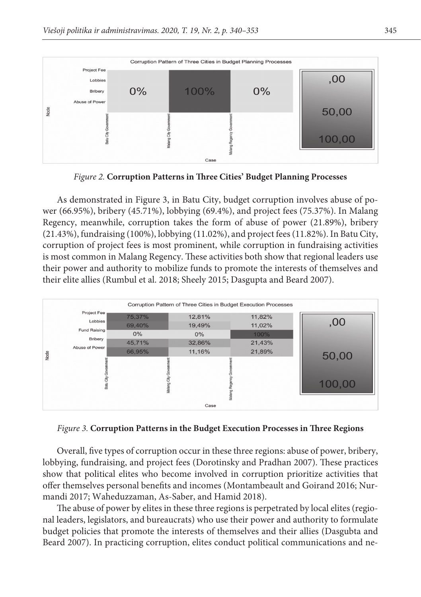

*Figure 2.* **Corruption Patterns in Three Cities' Budget Planning Processes**

As demonstrated in Figure 3, in Batu City, budget corruption involves abuse of power (66.95%), bribery (45.71%), lobbying (69.4%), and project fees (75.37%). In Malang Regency, meanwhile, corruption takes the form of abuse of power (21.89%), bribery (21.43%), fundraising (100%), lobbying (11.02%), and project fees (11.82%). In Batu City, corruption of project fees is most prominent, while corruption in fundraising activities is most common in Malang Regency. These activities both show that regional leaders use their power and authority to mobilize funds to promote the interests of themselves and their elite allies (Rumbul et al. 2018; Sheely 2015; Dasgupta and Beard 2007).



*Figure 3.* **Corruption Patterns in the Budget Execution Processes in Three Regions**

Overall, five types of corruption occur in these three regions: abuse of power, bribery, lobbying, fundraising, and project fees (Dorotinsky and Pradhan 2007). These practices show that political elites who become involved in corruption prioritize activities that offer themselves personal benefits and incomes (Montambeault and Goirand 2016; Nurmandi 2017; Waheduzzaman, As-Saber, and Hamid 2018).

The abuse of power by elites in these three regions is perpetrated by local elites (regional leaders, legislators, and bureaucrats) who use their power and authority to formulate budget policies that promote the interests of themselves and their allies (Dasgubta and Beard 2007). In practicing corruption, elites conduct political communications and ne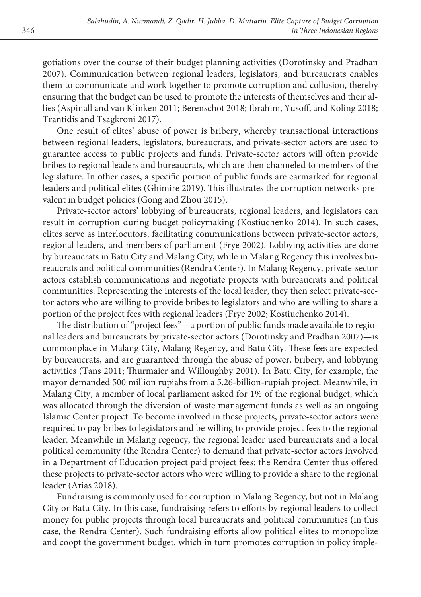gotiations over the course of their budget planning activities (Dorotinsky and Pradhan 2007). Communication between regional leaders, legislators, and bureaucrats enables them to communicate and work together to promote corruption and collusion, thereby ensuring that the budget can be used to promote the interests of themselves and their allies (Aspinall and van Klinken 2011; Berenschot 2018; Ibrahim, Yusoff, and Koling 2018; Trantidis and Tsagkroni 2017).

One result of elites' abuse of power is bribery, whereby transactional interactions between regional leaders, legislators, bureaucrats, and private-sector actors are used to guarantee access to public projects and funds. Private-sector actors will often provide bribes to regional leaders and bureaucrats, which are then channeled to members of the legislature. In other cases, a specific portion of public funds are earmarked for regional leaders and political elites (Ghimire 2019). This illustrates the corruption networks prevalent in budget policies (Gong and Zhou 2015).

Private-sector actors' lobbying of bureaucrats, regional leaders, and legislators can result in corruption during budget policymaking (Kostiuchenko 2014). In such cases, elites serve as interlocutors, facilitating communications between private-sector actors, regional leaders, and members of parliament (Frye 2002). Lobbying activities are done by bureaucrats in Batu City and Malang City, while in Malang Regency this involves bureaucrats and political communities (Rendra Center). In Malang Regency, private-sector actors establish communications and negotiate projects with bureaucrats and political communities. Representing the interests of the local leader, they then select private-sector actors who are willing to provide bribes to legislators and who are willing to share a portion of the project fees with regional leaders (Frye 2002; Kostiuchenko 2014).

The distribution of "project fees"—a portion of public funds made available to regional leaders and bureaucrats by private-sector actors (Dorotinsky and Pradhan 2007)—is commonplace in Malang City, Malang Regency, and Batu City. These fees are expected by bureaucrats, and are guaranteed through the abuse of power, bribery, and lobbying activities (Tans 2011; Thurmaier and Willoughby 2001). In Batu City, for example, the mayor demanded 500 million rupiahs from a 5.26-billion-rupiah project. Meanwhile, in Malang City, a member of local parliament asked for 1% of the regional budget, which was allocated through the diversion of waste management funds as well as an ongoing Islamic Center project. To become involved in these projects, private-sector actors were required to pay bribes to legislators and be willing to provide project fees to the regional leader. Meanwhile in Malang regency, the regional leader used bureaucrats and a local political community (the Rendra Center) to demand that private-sector actors involved in a Department of Education project paid project fees; the Rendra Center thus offered these projects to private-sector actors who were willing to provide a share to the regional leader (Arias 2018).

Fundraising is commonly used for corruption in Malang Regency, but not in Malang City or Batu City. In this case, fundraising refers to efforts by regional leaders to collect money for public projects through local bureaucrats and political communities (in this case, the Rendra Center). Such fundraising efforts allow political elites to monopolize and coopt the government budget, which in turn promotes corruption in policy imple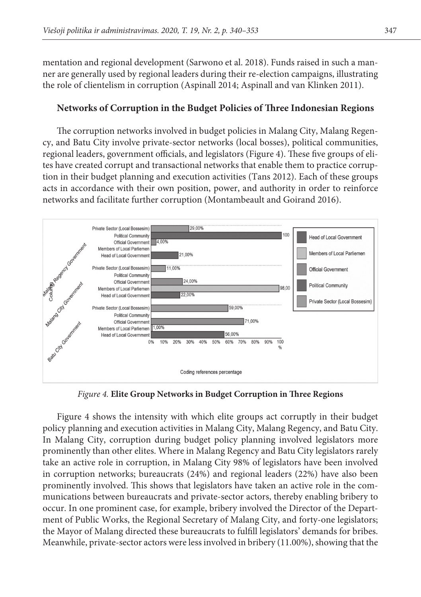mentation and regional development (Sarwono et al. 2018). Funds raised in such a manner are generally used by regional leaders during their re-election campaigns, illustrating the role of clientelism in corruption (Aspinall 2014; Aspinall and van Klinken 2011).

### **Networks of Corruption in the Budget Policies of Three Indonesian Regions**

The corruption networks involved in budget policies in Malang City, Malang Regency, and Batu City involve private-sector networks (local bosses), political communities, regional leaders, government officials, and legislators (Figure 4). These five groups of elites have created corrupt and transactional networks that enable them to practice corruption in their budget planning and execution activities (Tans 2012). Each of these groups acts in accordance with their own position, power, and authority in order to reinforce networks and facilitate further corruption (Montambeault and Goirand 2016).



*Figure 4.* **Elite Group Networks in Budget Corruption in Three Regions**

Figure 4 shows the intensity with which elite groups act corruptly in their budget policy planning and execution activities in Malang City, Malang Regency, and Batu City. In Malang City, corruption during budget policy planning involved legislators more prominently than other elites. Where in Malang Regency and Batu City legislators rarely take an active role in corruption, in Malang City 98% of legislators have been involved in corruption networks; bureaucrats (24%) and regional leaders (22%) have also been prominently involved. This shows that legislators have taken an active role in the communications between bureaucrats and private-sector actors, thereby enabling bribery to occur. In one prominent case, for example, bribery involved the Director of the Department of Public Works, the Regional Secretary of Malang City, and forty-one legislators; the Mayor of Malang directed these bureaucrats to fulfill legislators' demands for bribes. Meanwhile, private-sector actors were less involved in bribery (11.00%), showing that the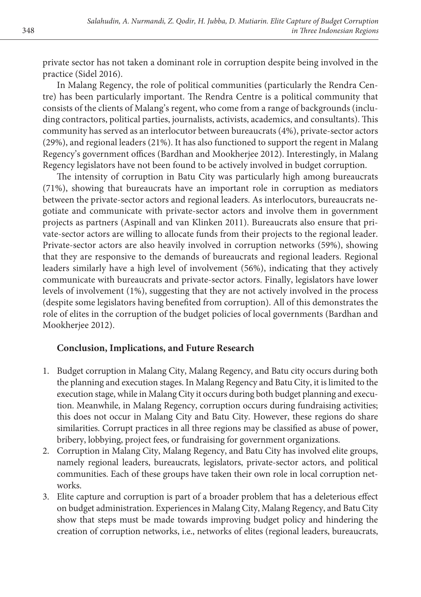private sector has not taken a dominant role in corruption despite being involved in the practice (Sidel 2016).

In Malang Regency, the role of political communities (particularly the Rendra Centre) has been particularly important. The Rendra Centre is a political community that consists of the clients of Malang's regent, who come from a range of backgrounds (including contractors, political parties, journalists, activists, academics, and consultants). This community has served as an interlocutor between bureaucrats (4%), private-sector actors (29%), and regional leaders (21%). It has also functioned to support the regent in Malang Regency's government offices (Bardhan and Mookherjee 2012). Interestingly, in Malang Regency legislators have not been found to be actively involved in budget corruption.

The intensity of corruption in Batu City was particularly high among bureaucrats (71%), showing that bureaucrats have an important role in corruption as mediators between the private-sector actors and regional leaders. As interlocutors, bureaucrats negotiate and communicate with private-sector actors and involve them in government projects as partners (Aspinall and van Klinken 2011). Bureaucrats also ensure that private-sector actors are willing to allocate funds from their projects to the regional leader. Private-sector actors are also heavily involved in corruption networks (59%), showing that they are responsive to the demands of bureaucrats and regional leaders. Regional leaders similarly have a high level of involvement (56%), indicating that they actively communicate with bureaucrats and private-sector actors. Finally, legislators have lower levels of involvement (1%), suggesting that they are not actively involved in the process (despite some legislators having benefited from corruption). All of this demonstrates the role of elites in the corruption of the budget policies of local governments (Bardhan and Mookherjee 2012).

## **Conclusion, Implications, and Future Research**

- 1. Budget corruption in Malang City, Malang Regency, and Batu city occurs during both the planning and execution stages. In Malang Regency and Batu City, it is limited to the execution stage, while in Malang City it occurs during both budget planning and execution. Meanwhile, in Malang Regency, corruption occurs during fundraising activities; this does not occur in Malang City and Batu City. However, these regions do share similarities. Corrupt practices in all three regions may be classified as abuse of power, bribery, lobbying, project fees, or fundraising for government organizations.
- 2. Corruption in Malang City, Malang Regency, and Batu City has involved elite groups, namely regional leaders, bureaucrats, legislators, private-sector actors, and political communities. Each of these groups have taken their own role in local corruption networks.
- 3. Elite capture and corruption is part of a broader problem that has a deleterious effect on budget administration. Experiences in Malang City, Malang Regency, and Batu City show that steps must be made towards improving budget policy and hindering the creation of corruption networks, i.e., networks of elites (regional leaders, bureaucrats,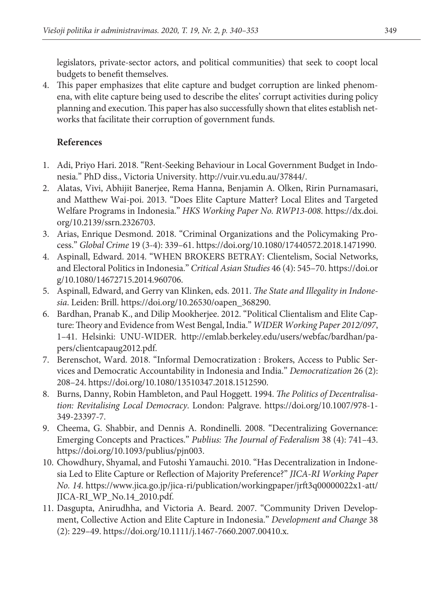legislators, private-sector actors, and political communities) that seek to coopt local budgets to benefit themselves.

4. This paper emphasizes that elite capture and budget corruption are linked phenomena, with elite capture being used to describe the elites' corrupt activities during policy planning and execution. This paper has also successfully shown that elites establish networks that facilitate their corruption of government funds.

# **References**

- 1. Adi, Priyo Hari. 2018. "Rent-Seeking Behaviour in Local Government Budget in Indonesia." PhD diss., Victoria University. http://vuir.vu.edu.au/37844/.
- 2. Alatas, Vivi, Abhijit Banerjee, Rema Hanna, Benjamin A. Olken, Ririn Purnamasari, and Matthew Wai-poi. 2013. "Does Elite Capture Matter? Local Elites and Targeted Welfare Programs in Indonesia." *HKS Working Paper No. RWP13-008*. https://dx.doi. org/10.2139/ssrn.2326703.
- 3. Arias, Enrique Desmond. 2018. "Criminal Organizations and the Policymaking Process." *Global Crime* 19 (3-4): 339–61. https://doi.org/10.1080/17440572.2018.1471990.
- 4. Aspinall, Edward. 2014. "WHEN BROKERS BETRAY: Clientelism, Social Networks, and Electoral Politics in Indonesia." *Critical Asian Studies* 46 (4): 545–70. https://doi.or g/10.1080/14672715.2014.960706.
- 5. Aspinall, Edward, and Gerry van Klinken, eds. 2011. *The State and Illegality in Indonesia*. Leiden: Brill. https://doi.org/10.26530/oapen\_368290.
- 6. Bardhan, Pranab K., and Dilip Mookherjee. 2012. "Political Clientalism and Elite Capture: Theory and Evidence from West Bengal, India." *WIDER Working Paper 2012/097*, 1–41. Helsinki: UNU-WIDER. http://emlab.berkeley.edu/users/webfac/bardhan/papers/clientcapaug2012.pdf.
- 7. Berenschot, Ward. 2018. "Informal Democratization : Brokers, Access to Public Services and Democratic Accountability in Indonesia and India." *Democratization* 26 (2): 208–24. https://doi.org/10.1080/13510347.2018.1512590.
- 8. Burns, Danny, Robin Hambleton, and Paul Hoggett. 1994. *The Politics of Decentralisation: Revitalising Local Democracy*. London: Palgrave. https://doi.org/10.1007/978-1- 349-23397-7.
- 9. Cheema, G. Shabbir, and Dennis A. Rondinelli. 2008. "Decentralizing Governance: Emerging Concepts and Practices." *Publius: The Journal of Federalism* 38 (4): 741–43. https://doi.org/10.1093/publius/pjn003.
- 10. Chowdhury, Shyamal, and Futoshi Yamauchi. 2010. "Has Decentralization in Indonesia Led to Elite Capture or Reflection of Majority Preference?" *JICA-RI Working Paper No. 14*. https://www.jica.go.jp/jica-ri/publication/workingpaper/jrft3q00000022x1-att/ JICA-RI\_WP\_No.14\_2010.pdf.
- 11. Dasgupta, Anirudhha, and Victoria A. Beard. 2007. "Community Driven Development, Collective Action and Elite Capture in Indonesia." *Development and Change* 38 (2): 229–49. https://doi.org/10.1111/j.1467-7660.2007.00410.x.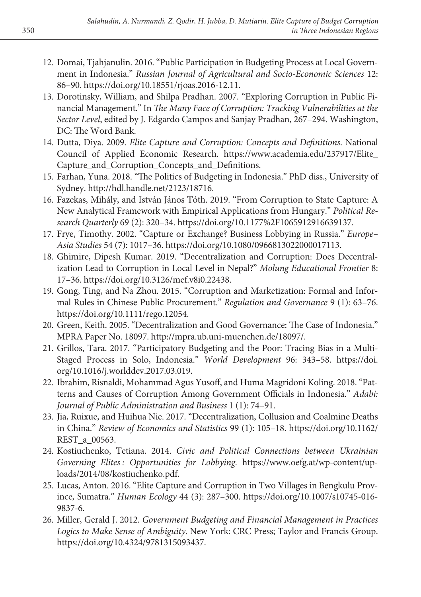- 12. Domai, Tjahjanulin. 2016. "Public Participation in Budgeting Process at Local Government in Indonesia." *Russian Journal of Agricultural and Socio-Economic Sciences* 12: 86–90. https://doi.org/10.18551/rjoas.2016-12.11.
- 13. Dorotinsky, William, and Shilpa Pradhan. 2007. "Exploring Corruption in Public Financial Management." In *The Many Face of Corruption: Tracking Vulnerabilities at the Sector Level*, edited by J. Edgardo Campos and Sanjay Pradhan, 267–294. Washington, DC: The Word Bank.
- 14. Dutta, Diya. 2009. *Elite Capture and Corruption: Concepts and Definitions*. National Council of Applied Economic Research. https://www.academia.edu/237917/Elite\_ Capture\_and\_Corruption\_Concepts\_and\_Definitions.
- 15. Farhan, Yuna. 2018. "The Politics of Budgeting in Indonesia." PhD diss., University of Sydney. http://hdl.handle.net/2123/18716.
- 16. Fazekas, Mihály, and István János Tóth. 2019. "From Corruption to State Capture: A New Analytical Framework with Empirical Applications from Hungary." *Political Research Quarterly* 69 (2): 320–34. https://doi.org/10.1177%2F1065912916639137.
- 17. Frye, Timothy. 2002. "Capture or Exchange? Business Lobbying in Russia." *Europe– Asia Studies* 54 (7): 1017–36. https://doi.org/10.1080/0966813022000017113.
- 18. Ghimire, Dipesh Kumar. 2019. "Decentralization and Corruption: Does Decentralization Lead to Corruption in Local Level in Nepal?" *Molung Educational Frontier* 8: 17–36. https://doi.org/10.3126/mef.v8i0.22438.
- 19. Gong, Ting, and Na Zhou. 2015. "Corruption and Marketization: Formal and Informal Rules in Chinese Public Procurement." *Regulation and Governance* 9 (1): 63–76. https://doi.org/10.1111/rego.12054.
- 20. Green, Keith. 2005. "Decentralization and Good Governance: The Case of Indonesia." MPRA Paper No. 18097. http://mpra.ub.uni-muenchen.de/18097/.
- 21. Grillos, Tara. 2017. "Participatory Budgeting and the Poor: Tracing Bias in a Multi-Staged Process in Solo, Indonesia." *World Development* 96: 343–58. https://doi. org/10.1016/j.worlddev.2017.03.019.
- 22. Ibrahim, Risnaldi, Mohammad Agus Yusoff, and Huma Magridoni Koling. 2018. "Patterns and Causes of Corruption Among Government Officials in Indonesia." *Adabi: Journal of Public Administration and Business* 1 (1): 74–91.
- 23. Jia, Ruixue, and Huihua Nie. 2017. "Decentralization, Collusion and Coalmine Deaths in China." *Review of Economics and Statistics* 99 (1): 105–18. https://doi.org/10.1162/ REST\_a\_00563.
- 24. Kostiuchenko, Tetiana. 2014. *Civic and Political Connections between Ukrainian Governing Elites : Opportunities for Lobbying*. https://www.oefg.at/wp-content/uploads/2014/08/kostiuchenko.pdf.
- 25. Lucas, Anton. 2016. "Elite Capture and Corruption in Two Villages in Bengkulu Province, Sumatra." *Human Ecology* 44 (3): 287–300. https://doi.org/10.1007/s10745-016- 9837-6.
- 26. Miller, Gerald J. 2012. *Government Budgeting and Financial Management in Practices Logics to Make Sense of Ambiguity*. New York: CRC Press; Taylor and Francis Group. https://doi.org/10.4324/9781315093437.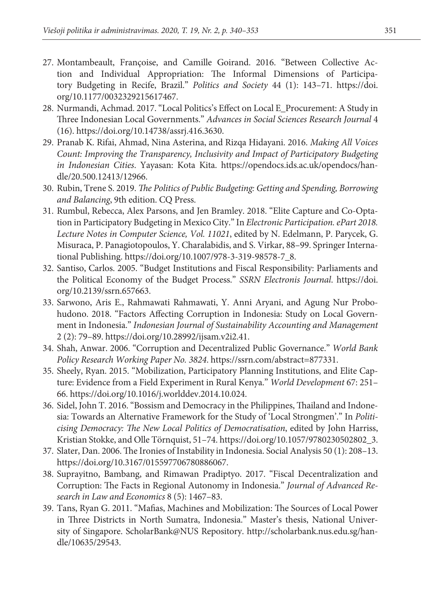- 27. Montambeault, Françoise, and Camille Goirand. 2016. "Between Collective Action and Individual Appropriation: The Informal Dimensions of Participatory Budgeting in Recife, Brazil." *Politics and Society* 44 (1): 143–71. https://doi. org/10.1177/0032329215617467.
- 28. Nurmandi, Achmad. 2017. "Local Politics's Effect on Local E\_Procurement: A Study in Three Indonesian Local Governments." *Advances in Social Sciences Research Journal* 4 (16). https://doi.org/10.14738/assrj.416.3630.
- 29. Pranab K. Rifai, Ahmad, Nina Asterina, and Rizqa Hidayani. 2016. *Making All Voices Count: Improving the Transparency, Inclusivity and Impact of Participatory Budgeting in Indonesian Cities*. Yayasan: Kota Kita. https://opendocs.ids.ac.uk/opendocs/handle/20.500.12413/12966.
- 30. Rubin, Trene S. 2019. *The Politics of Public Budgeting: Getting and Spending, Borrowing and Balancing*, 9th edition. CQ Press.
- 31. Rumbul, Rebecca, Alex Parsons, and Jen Bramley. 2018. "Elite Capture and Co-Optation in Participatory Budgeting in Mexico City." In *Electronic Participation. ePart 2018. Lecture Notes in Computer Science, Vol. 11021*, edited by N. Edelmann, P. Parycek, G. Misuraca, P. Panagiotopoulos, Y. Charalabidis, and S. Virkar, 88–99. Springer International Publishing. https://doi.org/10.1007/978-3-319-98578-7\_8.
- 32. Santiso, Carlos. 2005. "Budget Institutions and Fiscal Responsibility: Parliaments and the Political Economy of the Budget Process." *SSRN Electronis Journal*. https://doi. org/10.2139/ssrn.657663.
- 33. Sarwono, Aris E., Rahmawati Rahmawati, Y. Anni Aryani, and Agung Nur Probohudono. 2018. "Factors Affecting Corruption in Indonesia: Study on Local Government in Indonesia." *Indonesian Journal of Sustainability Accounting and Management* 2 (2): 79–89. https://doi.org/10.28992/ijsam.v2i2.41.
- 34. Shah, Anwar. 2006. "Corruption and Decentralized Public Governance." *World Bank Policy Research Working Paper No. 3824*. https://ssrn.com/abstract=877331.
- 35. Sheely, Ryan. 2015. "Mobilization, Participatory Planning Institutions, and Elite Capture: Evidence from a Field Experiment in Rural Kenya." *World Development* 67: 251– 66. https://doi.org/10.1016/j.worlddev.2014.10.024.
- 36. Sidel, John T. 2016. "Bossism and Democracy in the Philippines, Thailand and Indonesia: Towards an Alternative Framework for the Study of 'Local Strongmen'." In *Politicising Democracy: The New Local Politics of Democratisation*, edited by John Harriss, Kristian Stokke, and Olle Törnquist, 51–74. https://doi.org/10.1057/9780230502802\_3.
- 37. Slater, Dan. 2006. The Ironies of Instability in Indonesia. Social Analysis 50 (1): 208–13. https://doi.org/10.3167/015597706780886067.
- 38. Suprayitno, Bambang, and Rimawan Pradiptyo. 2017. "Fiscal Decentralization and Corruption: The Facts in Regional Autonomy in Indonesia." *Journal of Advanced Research in Law and Economics* 8 (5): 1467–83.
- 39. Tans, Ryan G. 2011. "Mafias, Machines and Mobilization: The Sources of Local Power in Three Districts in North Sumatra, Indonesia." Master's thesis, National University of Singapore. ScholarBank@NUS Repository. http://scholarbank.nus.edu.sg/handle/10635/29543.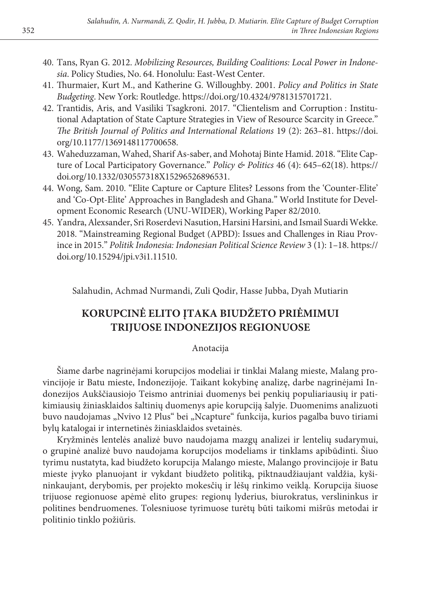- 40. Tans, Ryan G. 2012. *Mobilizing Resources, Building Coalitions: Local Power in Indonesia*. Policy Studies, No. 64. Honolulu: East-West Center.
- 41. Thurmaier, Kurt M., and Katherine G. Willoughby. 2001. *Policy and Politics in State Budgeting*. New York: Routledge. https://doi.org/10.4324/9781315701721.
- 42. Trantidis, Aris, and Vasiliki Tsagkroni. 2017. "Clientelism and Corruption : Institutional Adaptation of State Capture Strategies in View of Resource Scarcity in Greece." *The British Journal of Politics and International Relations* 19 (2): 263–81. https://doi. org/10.1177/1369148117700658.
- 43. Waheduzzaman, Wahed, Sharif As-saber, and Mohotaj Binte Hamid. 2018. "Elite Capture of Local Participatory Governance." *Policy & Politics* 46 (4): 645–62(18). https:// doi.org/10.1332/030557318X15296526896531.
- 44. Wong, Sam. 2010. "Elite Capture or Capture Elites? Lessons from the 'Counter-Elite' and 'Co-Opt-Elite' Approaches in Bangladesh and Ghana." World Institute for Development Economic Research (UNU-WIDER), Working Paper 82/2010.
- 45. Yandra, Alexsander, Sri Roserdevi Nasution, Harsini Harsini, and Ismail Suardi Wekke. 2018. "Mainstreaming Regional Budget (APBD): Issues and Challenges in Riau Province in 2015." *Politik Indonesia: Indonesian Political Science Review* 3 (1): 1–18. https:// doi.org/10.15294/jpi.v3i1.11510.

Salahudin, Achmad Nurmandi, Zuli Qodir, Hasse Jubba, Dyah Mutiarin

# **KORUPCINĖ ELITO ĮTAKA BIUDŽETO PRIĖMIMUI TRIJUOSE INDONEZIJOS REGIONUOSE**

### Anotacija

Šiame darbe nagrinėjami korupcijos modeliai ir tinklai Malang mieste, Malang provincijoje ir Batu mieste, Indonezijoje. Taikant kokybinę analizę, darbe nagrinėjami Indonezijos Aukščiausiojo Teismo antriniai duomenys bei penkių populiariausių ir patikimiausių žiniasklaidos šaltinių duomenys apie korupciją šalyje. Duomenims analizuoti buvo naudojamas "Nvivo 12 Plus" bei "Ncapture" funkcija, kurios pagalba buvo tiriami bylų katalogai ir internetinės žiniasklaidos svetainės.

Kryžminės lentelės analizė buvo naudojama mazgų analizei ir lentelių sudarymui, o grupinė analizė buvo naudojama korupcijos modeliams ir tinklams apibūdinti. Šiuo tyrimu nustatyta, kad biudžeto korupcija Malango mieste, Malango provincijoje ir Batu mieste įvyko planuojant ir vykdant biudžeto politiką, piktnaudžiaujant valdžia, kyšininkaujant, derybomis, per projekto mokesčių ir lėšų rinkimo veiklą. Korupcija šiuose trijuose regionuose apėmė elito grupes: regionų lyderius, biurokratus, verslininkus ir politines bendruomenes. Tolesniuose tyrimuose turėtų būti taikomi mišrūs metodai ir politinio tinklo požiūris.